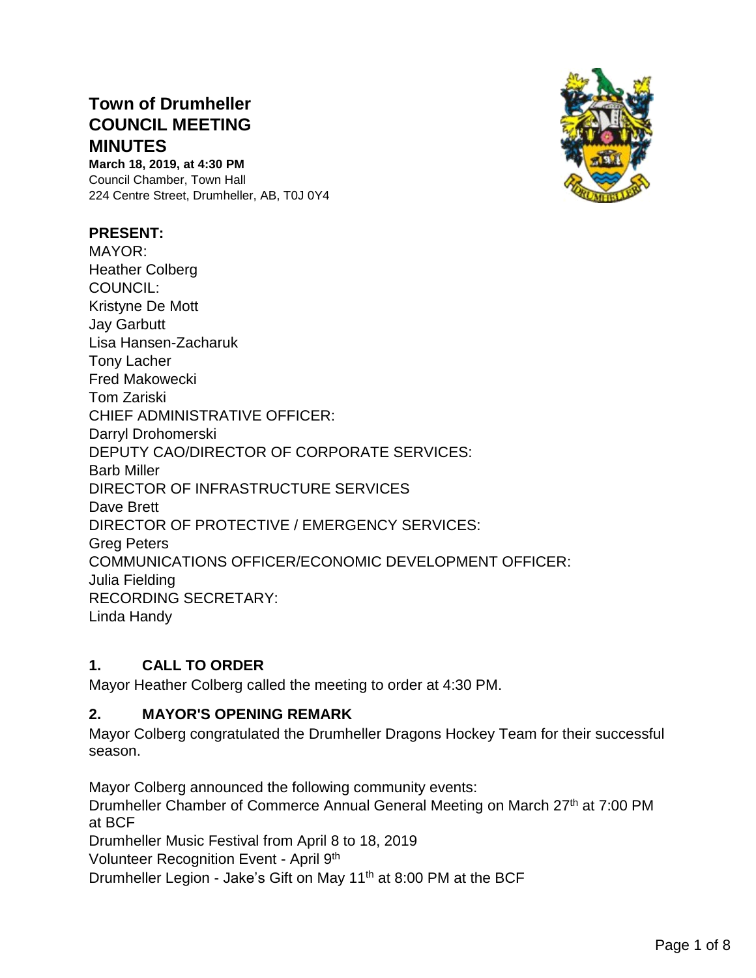# **Town of Drumheller COUNCIL MEETING MINUTES**

**March 18, 2019, at 4:30 PM** Council Chamber, Town Hall 224 Centre Street, Drumheller, AB, T0J 0Y4

### **PRESENT:**

MAYOR: Heather Colberg COUNCIL: Kristyne De Mott Jay Garbutt Lisa Hansen-Zacharuk Tony Lacher Fred Makowecki Tom Zariski CHIEF ADMINISTRATIVE OFFICER: Darryl Drohomerski DEPUTY CAO/DIRECTOR OF CORPORATE SERVICES: Barb Miller DIRECTOR OF INFRASTRUCTURE SERVICES Dave Brett DIRECTOR OF PROTECTIVE / EMERGENCY SERVICES: Greg Peters COMMUNICATIONS OFFICER/ECONOMIC DEVELOPMENT OFFICER: Julia Fielding RECORDING SECRETARY: Linda Handy

### **1. CALL TO ORDER**

Mayor Heather Colberg called the meeting to order at 4:30 PM.

#### **2. MAYOR'S OPENING REMARK**

Mayor Colberg congratulated the Drumheller Dragons Hockey Team for their successful season.

Mayor Colberg announced the following community events:

Drumheller Chamber of Commerce Annual General Meeting on March 27th at 7:00 PM at BCF

Drumheller Music Festival from April 8 to 18, 2019

Volunteer Recognition Event - April 9th

Drumheller Legion - Jake's Gift on May 11th at 8:00 PM at the BCF

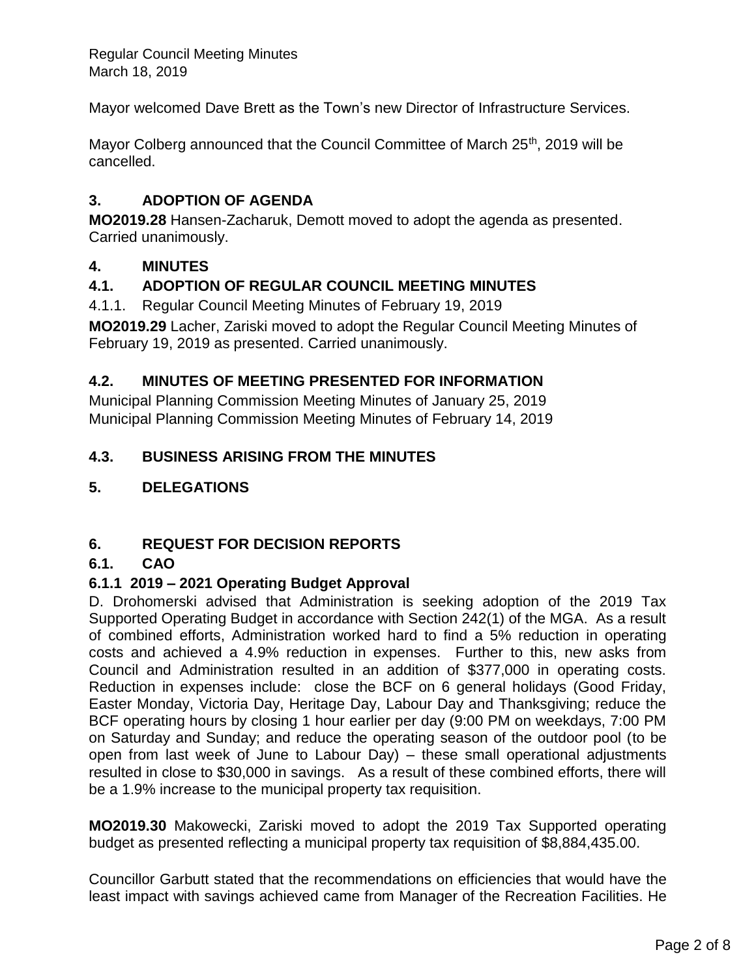Mayor welcomed Dave Brett as the Town's new Director of Infrastructure Services.

Mayor Colberg announced that the Council Committee of March 25<sup>th</sup>, 2019 will be cancelled.

### **3. ADOPTION OF AGENDA**

**MO2019.28** Hansen-Zacharuk, Demott moved to adopt the agenda as presented. Carried unanimously.

### **4. MINUTES**

### **4.1. ADOPTION OF REGULAR COUNCIL MEETING MINUTES**

4.1.1. Regular Council Meeting Minutes of February 19, 2019

**MO2019.29** Lacher, Zariski moved to adopt the Regular Council Meeting Minutes of February 19, 2019 as presented. Carried unanimously.

### **4.2. MINUTES OF MEETING PRESENTED FOR INFORMATION**

Municipal Planning Commission Meeting Minutes of January 25, 2019 Municipal Planning Commission Meeting Minutes of February 14, 2019

### **4.3. BUSINESS ARISING FROM THE MINUTES**

### **5. DELEGATIONS**

#### **6. REQUEST FOR DECISION REPORTS**

#### **6.1. CAO**

#### **6.1.1 2019 – 2021 Operating Budget Approval**

D. Drohomerski advised that Administration is seeking adoption of the 2019 Tax Supported Operating Budget in accordance with Section 242(1) of the MGA. As a result of combined efforts, Administration worked hard to find a 5% reduction in operating costs and achieved a 4.9% reduction in expenses. Further to this, new asks from Council and Administration resulted in an addition of \$377,000 in operating costs. Reduction in expenses include: close the BCF on 6 general holidays (Good Friday, Easter Monday, Victoria Day, Heritage Day, Labour Day and Thanksgiving; reduce the BCF operating hours by closing 1 hour earlier per day (9:00 PM on weekdays, 7:00 PM on Saturday and Sunday; and reduce the operating season of the outdoor pool (to be open from last week of June to Labour Day) – these small operational adjustments resulted in close to \$30,000 in savings. As a result of these combined efforts, there will be a 1.9% increase to the municipal property tax requisition.

**MO2019.30** Makowecki, Zariski moved to adopt the 2019 Tax Supported operating budget as presented reflecting a municipal property tax requisition of \$8,884,435.00.

Councillor Garbutt stated that the recommendations on efficiencies that would have the least impact with savings achieved came from Manager of the Recreation Facilities. He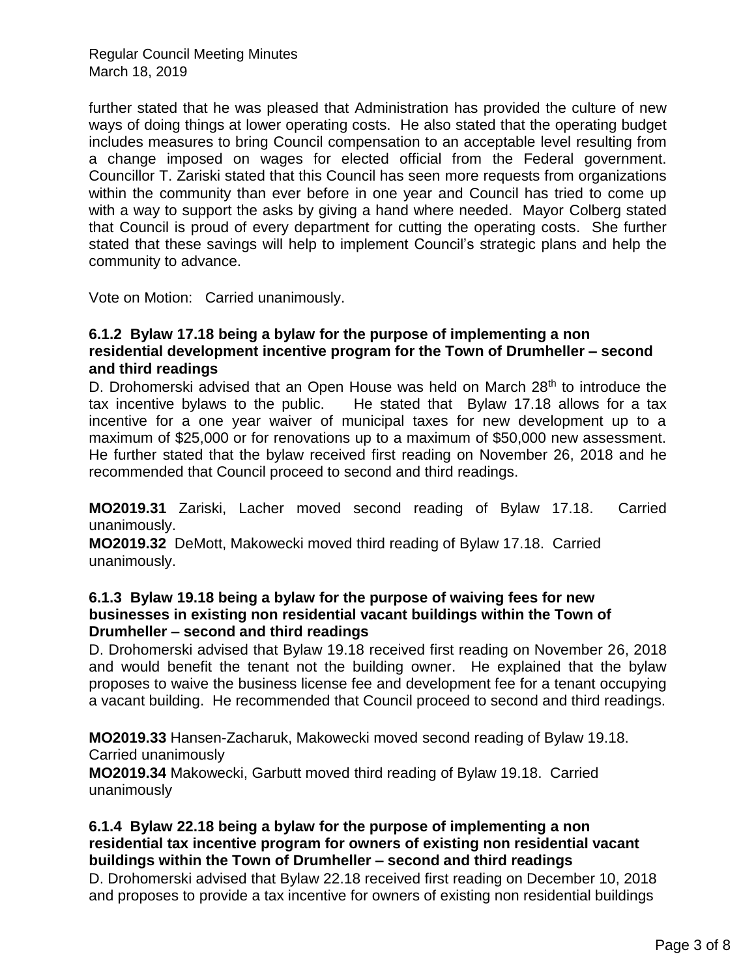further stated that he was pleased that Administration has provided the culture of new ways of doing things at lower operating costs. He also stated that the operating budget includes measures to bring Council compensation to an acceptable level resulting from a change imposed on wages for elected official from the Federal government. Councillor T. Zariski stated that this Council has seen more requests from organizations within the community than ever before in one year and Council has tried to come up with a way to support the asks by giving a hand where needed. Mayor Colberg stated that Council is proud of every department for cutting the operating costs. She further stated that these savings will help to implement Council's strategic plans and help the community to advance.

Vote on Motion: Carried unanimously.

#### **6.1.2 Bylaw 17.18 being a bylaw for the purpose of implementing a non residential development incentive program for the Town of Drumheller – second and third readings**

D. Drohomerski advised that an Open House was held on March 28<sup>th</sup> to introduce the tax incentive bylaws to the public. He stated that Bylaw 17.18 allows for a tax incentive for a one year waiver of municipal taxes for new development up to a maximum of \$25,000 or for renovations up to a maximum of \$50,000 new assessment. He further stated that the bylaw received first reading on November 26, 2018 and he recommended that Council proceed to second and third readings.

**MO2019.31** Zariski, Lacher moved second reading of Bylaw 17.18. Carried unanimously.

**MO2019.32** DeMott, Makowecki moved third reading of Bylaw 17.18. Carried unanimously.

#### **6.1.3 Bylaw 19.18 being a bylaw for the purpose of waiving fees for new businesses in existing non residential vacant buildings within the Town of Drumheller – second and third readings**

D. Drohomerski advised that Bylaw 19.18 received first reading on November 26, 2018 and would benefit the tenant not the building owner. He explained that the bylaw proposes to waive the business license fee and development fee for a tenant occupying a vacant building. He recommended that Council proceed to second and third readings.

**MO2019.33** Hansen-Zacharuk, Makowecki moved second reading of Bylaw 19.18. Carried unanimously

**MO2019.34** Makowecki, Garbutt moved third reading of Bylaw 19.18. Carried unanimously

#### **6.1.4 Bylaw 22.18 being a bylaw for the purpose of implementing a non residential tax incentive program for owners of existing non residential vacant buildings within the Town of Drumheller – second and third readings**

D. Drohomerski advised that Bylaw 22.18 received first reading on December 10, 2018 and proposes to provide a tax incentive for owners of existing non residential buildings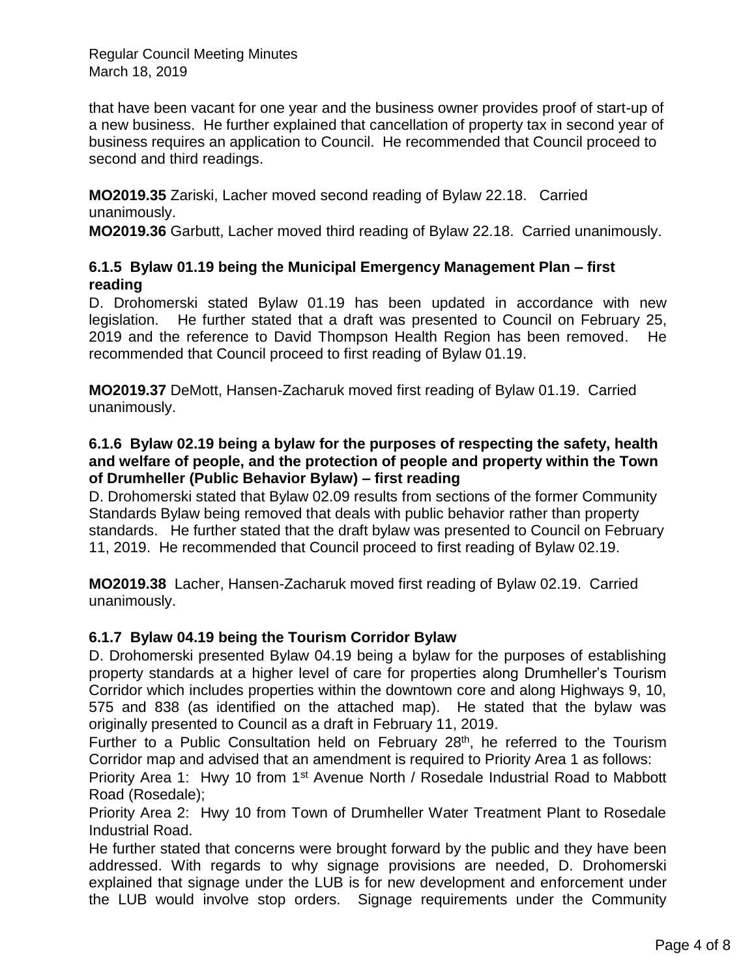that have been vacant for one year and the business owner provides proof of start-up of a new business. He further explained that cancellation of property tax in second year of business requires an application to Council. He recommended that Council proceed to second and third readings.

**MO2019.35** Zariski, Lacher moved second reading of Bylaw 22.18. Carried unanimously.

**MO2019.36** Garbutt, Lacher moved third reading of Bylaw 22.18. Carried unanimously.

### **6.1.5 Bylaw 01.19 being the Municipal Emergency Management Plan – first reading**

D. Drohomerski stated Bylaw 01.19 has been updated in accordance with new legislation. He further stated that a draft was presented to Council on February 25, 2019 and the reference to David Thompson Health Region has been removed. He recommended that Council proceed to first reading of Bylaw 01.19.

**MO2019.37** DeMott, Hansen-Zacharuk moved first reading of Bylaw 01.19. Carried unanimously.

#### **6.1.6 Bylaw 02.19 being a bylaw for the purposes of respecting the safety, health and welfare of people, and the protection of people and property within the Town of Drumheller (Public Behavior Bylaw) – first reading**

D. Drohomerski stated that Bylaw 02.09 results from sections of the former Community Standards Bylaw being removed that deals with public behavior rather than property standards. He further stated that the draft bylaw was presented to Council on February 11, 2019. He recommended that Council proceed to first reading of Bylaw 02.19.

**MO2019.38** Lacher, Hansen-Zacharuk moved first reading of Bylaw 02.19. Carried unanimously.

### **6.1.7 Bylaw 04.19 being the Tourism Corridor Bylaw**

D. Drohomerski presented Bylaw 04.19 being a bylaw for the purposes of establishing property standards at a higher level of care for properties along Drumheller's Tourism Corridor which includes properties within the downtown core and along Highways 9, 10, 575 and 838 (as identified on the attached map). He stated that the bylaw was originally presented to Council as a draft in February 11, 2019.

Further to a Public Consultation held on February 28<sup>th</sup>, he referred to the Tourism Corridor map and advised that an amendment is required to Priority Area 1 as follows:

Priority Area 1: Hwy 10 from 1<sup>st</sup> Avenue North / Rosedale Industrial Road to Mabbott Road (Rosedale);

Priority Area 2: Hwy 10 from Town of Drumheller Water Treatment Plant to Rosedale Industrial Road.

He further stated that concerns were brought forward by the public and they have been addressed. With regards to why signage provisions are needed, D. Drohomerski explained that signage under the LUB is for new development and enforcement under the LUB would involve stop orders. Signage requirements under the Community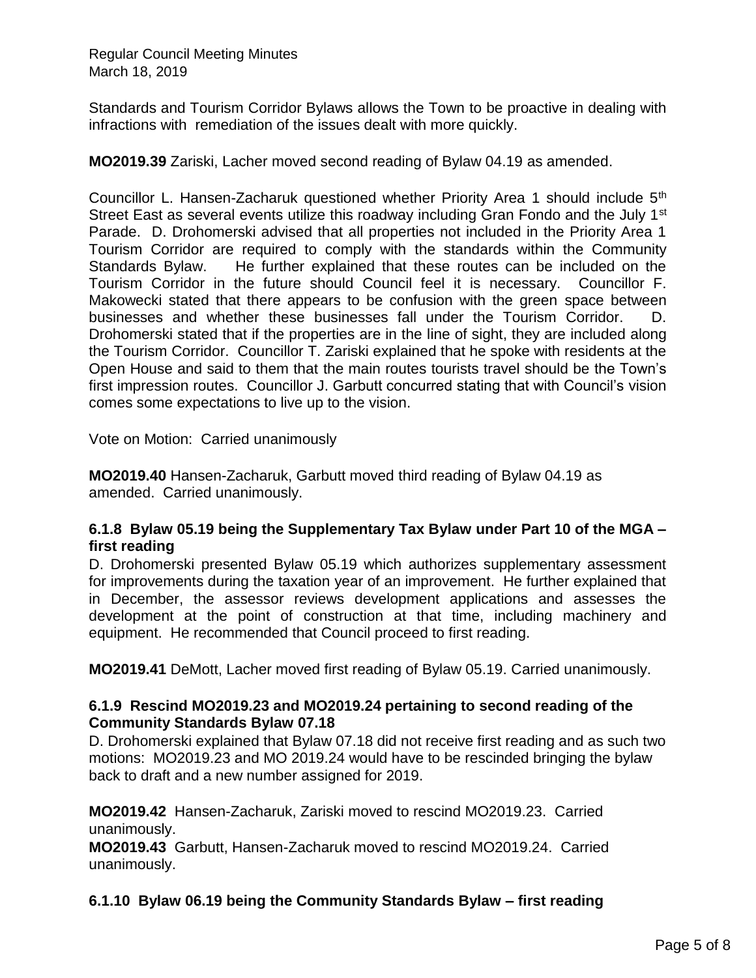Standards and Tourism Corridor Bylaws allows the Town to be proactive in dealing with infractions with remediation of the issues dealt with more quickly.

**MO2019.39** Zariski, Lacher moved second reading of Bylaw 04.19 as amended.

Councillor L. Hansen-Zacharuk questioned whether Priority Area 1 should include  $5<sup>th</sup>$ Street East as several events utilize this roadway including Gran Fondo and the July 1<sup>st</sup> Parade. D. Drohomerski advised that all properties not included in the Priority Area 1 Tourism Corridor are required to comply with the standards within the Community Standards Bylaw. He further explained that these routes can be included on the Tourism Corridor in the future should Council feel it is necessary. Councillor F. Makowecki stated that there appears to be confusion with the green space between businesses and whether these businesses fall under the Tourism Corridor. D. Drohomerski stated that if the properties are in the line of sight, they are included along the Tourism Corridor. Councillor T. Zariski explained that he spoke with residents at the Open House and said to them that the main routes tourists travel should be the Town's first impression routes. Councillor J. Garbutt concurred stating that with Council's vision comes some expectations to live up to the vision.

Vote on Motion: Carried unanimously

**MO2019.40** Hansen-Zacharuk, Garbutt moved third reading of Bylaw 04.19 as amended. Carried unanimously.

#### **6.1.8 Bylaw 05.19 being the Supplementary Tax Bylaw under Part 10 of the MGA – first reading**

D. Drohomerski presented Bylaw 05.19 which authorizes supplementary assessment for improvements during the taxation year of an improvement. He further explained that in December, the assessor reviews development applications and assesses the development at the point of construction at that time, including machinery and equipment. He recommended that Council proceed to first reading.

**MO2019.41** DeMott, Lacher moved first reading of Bylaw 05.19. Carried unanimously.

#### **6.1.9 Rescind MO2019.23 and MO2019.24 pertaining to second reading of the Community Standards Bylaw 07.18**

D. Drohomerski explained that Bylaw 07.18 did not receive first reading and as such two motions: MO2019.23 and MO 2019.24 would have to be rescinded bringing the bylaw back to draft and a new number assigned for 2019.

**MO2019.42** Hansen-Zacharuk, Zariski moved to rescind MO2019.23. Carried unanimously.

**MO2019.43** Garbutt, Hansen-Zacharuk moved to rescind MO2019.24. Carried unanimously.

### **6.1.10 Bylaw 06.19 being the Community Standards Bylaw – first reading**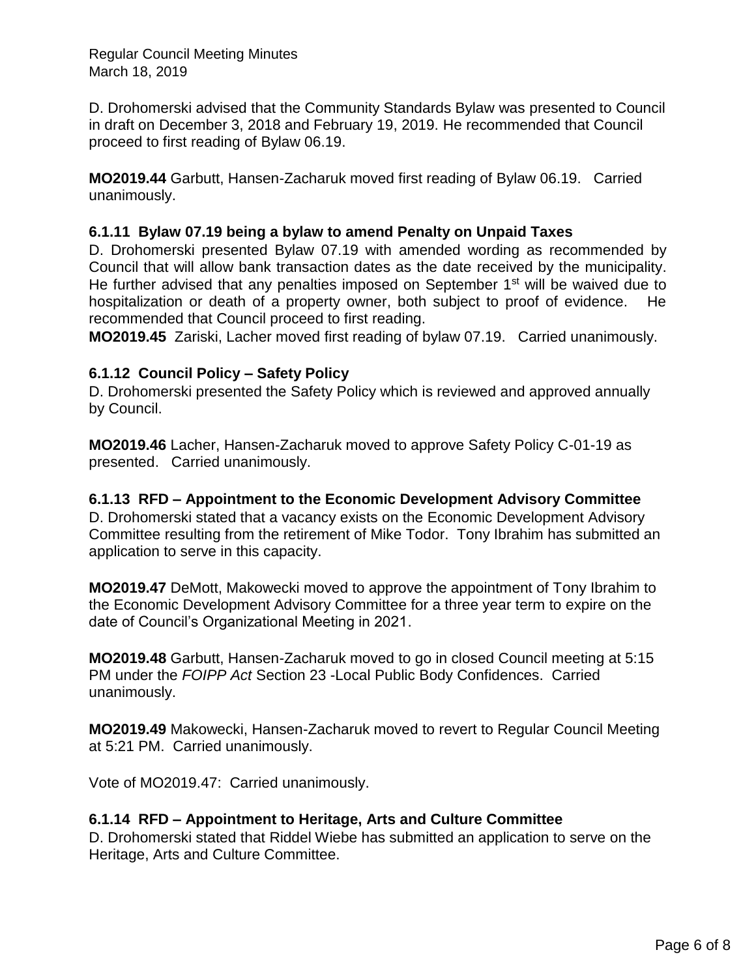D. Drohomerski advised that the Community Standards Bylaw was presented to Council in draft on December 3, 2018 and February 19, 2019. He recommended that Council proceed to first reading of Bylaw 06.19.

**MO2019.44** Garbutt, Hansen-Zacharuk moved first reading of Bylaw 06.19. Carried unanimously.

#### **6.1.11 Bylaw 07.19 being a bylaw to amend Penalty on Unpaid Taxes**

D. Drohomerski presented Bylaw 07.19 with amended wording as recommended by Council that will allow bank transaction dates as the date received by the municipality. He further advised that any penalties imposed on September  $1<sup>st</sup>$  will be waived due to hospitalization or death of a property owner, both subject to proof of evidence. He recommended that Council proceed to first reading.

**MO2019.45** Zariski, Lacher moved first reading of bylaw 07.19. Carried unanimously.

### **6.1.12 Council Policy – Safety Policy**

D. Drohomerski presented the Safety Policy which is reviewed and approved annually by Council.

**MO2019.46** Lacher, Hansen-Zacharuk moved to approve Safety Policy C-01-19 as presented. Carried unanimously.

#### **6.1.13 RFD – Appointment to the Economic Development Advisory Committee**

D. Drohomerski stated that a vacancy exists on the Economic Development Advisory Committee resulting from the retirement of Mike Todor. Tony Ibrahim has submitted an application to serve in this capacity.

**MO2019.47** DeMott, Makowecki moved to approve the appointment of Tony Ibrahim to the Economic Development Advisory Committee for a three year term to expire on the date of Council's Organizational Meeting in 2021.

**MO2019.48** Garbutt, Hansen-Zacharuk moved to go in closed Council meeting at 5:15 PM under the *FOIPP Act* Section 23 -Local Public Body Confidences. Carried unanimously.

**MO2019.49** Makowecki, Hansen-Zacharuk moved to revert to Regular Council Meeting at 5:21 PM. Carried unanimously.

Vote of MO2019.47: Carried unanimously.

#### **6.1.14 RFD – Appointment to Heritage, Arts and Culture Committee**

D. Drohomerski stated that Riddel Wiebe has submitted an application to serve on the Heritage, Arts and Culture Committee.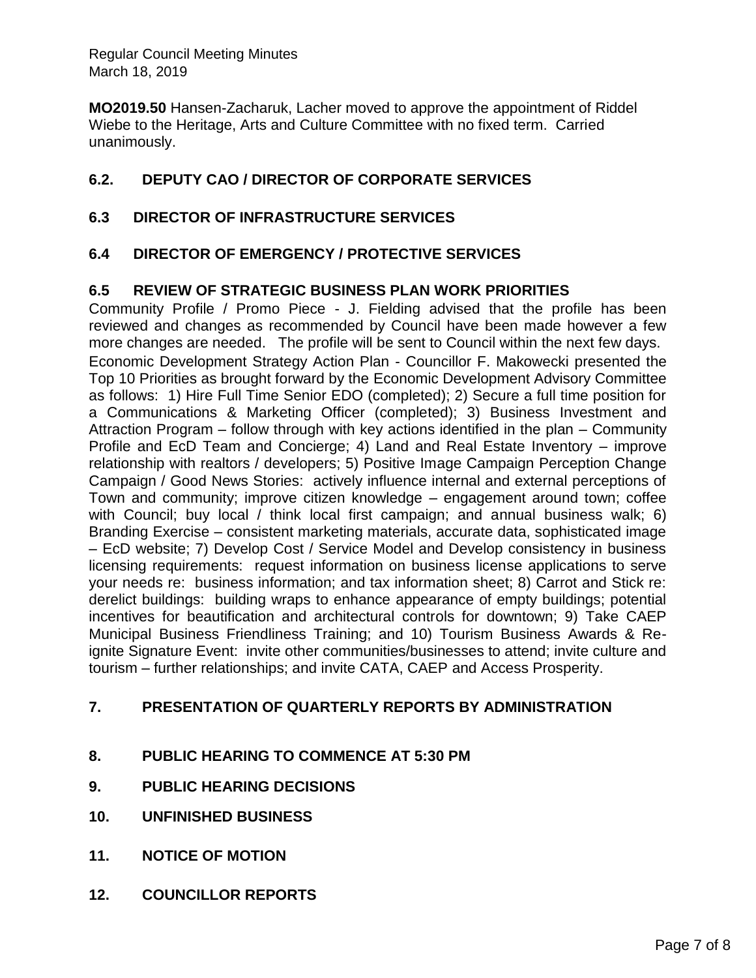**MO2019.50** Hansen-Zacharuk, Lacher moved to approve the appointment of Riddel Wiebe to the Heritage, Arts and Culture Committee with no fixed term. Carried unanimously.

## **6.2. DEPUTY CAO / DIRECTOR OF CORPORATE SERVICES**

### **6.3 DIRECTOR OF INFRASTRUCTURE SERVICES**

### **6.4 DIRECTOR OF EMERGENCY / PROTECTIVE SERVICES**

### **6.5 REVIEW OF STRATEGIC BUSINESS PLAN WORK PRIORITIES**

Community Profile / Promo Piece - J. Fielding advised that the profile has been reviewed and changes as recommended by Council have been made however a few more changes are needed. The profile will be sent to Council within the next few days. Economic Development Strategy Action Plan - Councillor F. Makowecki presented the Top 10 Priorities as brought forward by the Economic Development Advisory Committee as follows: 1) Hire Full Time Senior EDO (completed); 2) Secure a full time position for a Communications & Marketing Officer (completed); 3) Business Investment and Attraction Program – follow through with key actions identified in the plan – Community Profile and EcD Team and Concierge; 4) Land and Real Estate Inventory – improve relationship with realtors / developers; 5) Positive Image Campaign Perception Change Campaign / Good News Stories: actively influence internal and external perceptions of Town and community; improve citizen knowledge – engagement around town; coffee with Council; buy local / think local first campaign; and annual business walk; 6) Branding Exercise – consistent marketing materials, accurate data, sophisticated image – EcD website; 7) Develop Cost / Service Model and Develop consistency in business licensing requirements: request information on business license applications to serve your needs re: business information; and tax information sheet; 8) Carrot and Stick re: derelict buildings: building wraps to enhance appearance of empty buildings; potential incentives for beautification and architectural controls for downtown; 9) Take CAEP Municipal Business Friendliness Training; and 10) Tourism Business Awards & Reignite Signature Event: invite other communities/businesses to attend; invite culture and tourism – further relationships; and invite CATA, CAEP and Access Prosperity.

### **7. PRESENTATION OF QUARTERLY REPORTS BY ADMINISTRATION**

- **8. PUBLIC HEARING TO COMMENCE AT 5:30 PM**
- **9. PUBLIC HEARING DECISIONS**
- **10. UNFINISHED BUSINESS**
- **11. NOTICE OF MOTION**
- **12. COUNCILLOR REPORTS**